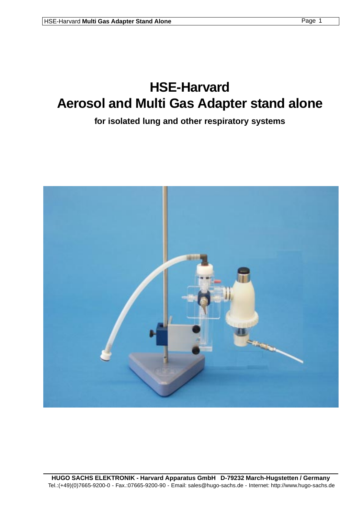### **HSE-Harvard Aerosol and Multi Gas Adapter stand alone**

**for isolated lung and other respiratory systems**

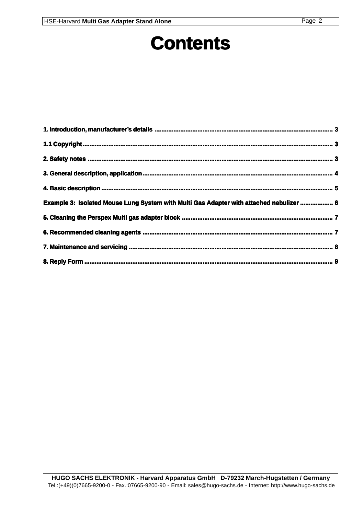## **Contents**

| Example 3: Isolated Mouse Lung System with Multi Gas Adapter with attached nebulizer  6 |  |
|-----------------------------------------------------------------------------------------|--|
|                                                                                         |  |
|                                                                                         |  |
|                                                                                         |  |
|                                                                                         |  |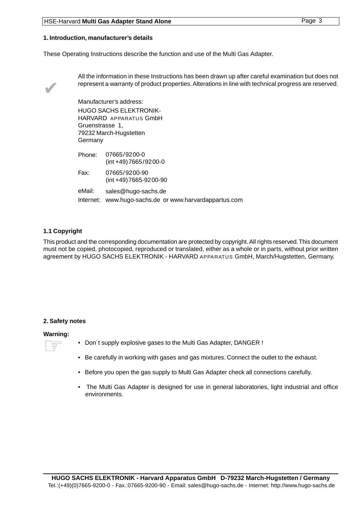<span id="page-2-0"></span>These Operating Instructions describe the function and use of the Multi Gas Adapter.



All the information in these Instructions has been drawn up after careful examination but does not represent a warranty of product properties. Alterations in line with technical progress are reserved.

Manufacturer's address: HUGO SACHS ELEKTRONIK-HARVARD APPARATUS GmbH Gruenstrasse 1, 79232 March-Hugstetten **Germany** 

| Phone: | 07665/9200-0<br>$(int +49)7665/9200-0$                 |
|--------|--------------------------------------------------------|
| Fax:   | 07665/9200-90<br>$(int +49)7665-9200-90$               |
| eMail: | sales@hugo-sachs.de                                    |
|        | Internet: www.hugo-sachs.de or www.harvardappartus.com |

#### **1.1 Copyright**

This product and the corresponding documentation are protected by copyright. All rights reserved. This document must not be copied, photocopied, reproduced or translated, either as a whole or in parts, without prior written agreement by HUGO SACHS ELEKTRONIK - HARVARD APPARATUS GmbH, March/Hugstetten, Germany.

#### **2. Safety notes**

#### **Warning:**

- waning<br>∟ङ
- Don´t supply explosive gases to the Multi Gas Adapter, DANGER !
- Be carefully in working with gases and gas mixtures. Connect the outlet to the exhaust.
- Before you open the gas supply to Multi Gas Adapter check all connections carefully.
- The Multi Gas Adapter is designed for use in general laboratories, light industrial and office environments.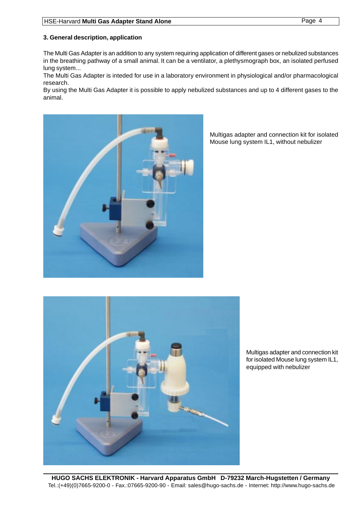<span id="page-3-0"></span>The Multi Gas Adapter is an addition to any system requiring application of different gases or nebulized substances in the breathing pathway of a small animal. It can be a ventilator, a plethysmograph box, an isolated perfused lung system...

The Multi Gas Adapter is inteded for use in a laboratory environment in physiological and/or pharmacological research.

By using the Multi Gas Adapter it is possible to apply nebulized substances and up to 4 different gases to the animal.



Multigas adapter and connection kit for isolated Mouse lung system IL1, without nebulizer



Multigas adapter and connection kit for isolated Mouse lung system IL1, equipped with nebulizer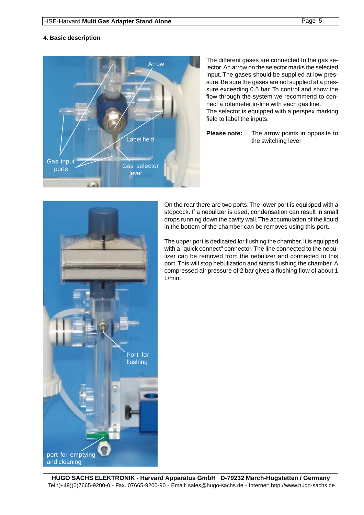#### <span id="page-4-0"></span>**4. Basic description**



The different gases are connected to the gas selector. An arrow on the selector marks the selected input. The gases should be supplied at low pressure. Be sure the gases are not supplied at a pressure exceeding 0.5 bar. To control and show the flow through the system we recommend to connect a rotameter in-line with each gas line.

The selector is equipped with a perspex marking field to label the inputs.

**Please note:** The arrow points in opposite to the switching lever



On the rear there are two ports. The lower port is equipped with a stopcock. If a nebulizer is used, condensation can result in small drops running down the cavity wall. The accumulation of the liquid in the bottom of the chamber can be removes using this port.

The upper port is dedicated for flushing the chamber. It is equipped with a "quick connect" connector. The line connected to the nebulizer can be removed from the nebulizer and connected to this port. This will stop nebulization and starts flushing the chamber. A compressed air pressure of 2 bar gives a flushing flow of about 1 L/min.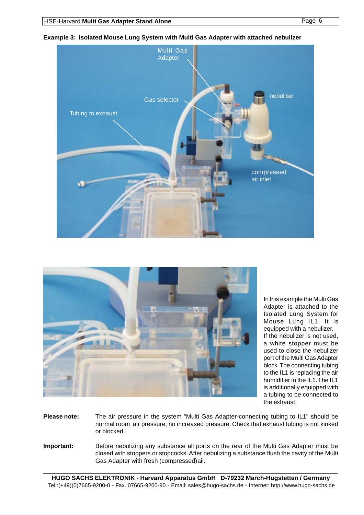# nebuliser compressed air inlet Gas selector Multi Gas Adapter Tubing to exhaust

<span id="page-5-0"></span>



In this example the Multi Gas Adapter is attached to the Isolated Lung System for Mouse Lung IL1. It is equipped with a nebulizer. If the nebulizer is not used, a white stopper must be used to close the nebulizer port of the Multi Gas Adapter block. The connecting tubing to the IL1 is replacing the air humidifier in the IL1. The IL1 is additionally equipped with a tubing to be connected to the exhaust.

- **Please note:** The air pressure in the system "Multi Gas Adapter-connecting tubing to IL1" should be normal room air pressure, no increased pressure. Check that exhaust tubing is not kinked or blocked.
- **Important:** Before nebulizing any substance all ports on the rear of the Multi Gas Adapter must be closed with stoppers or stopcocks. After nebulizing a substance flush the cavity of the Multi Gas Adapter with fresh (compressed)air.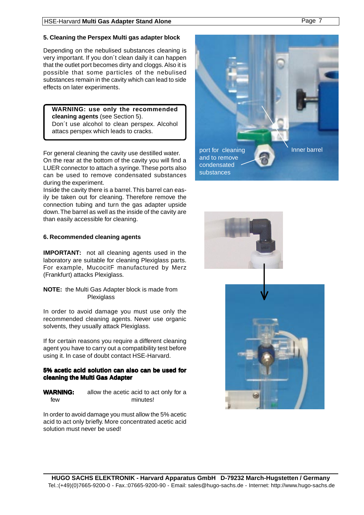#### <span id="page-6-0"></span>**5. Cleaning the Perspex Multi gas adapter block**

Depending on the nebulised substances cleaning is very important. If you don´t clean daily it can happen that the outlet port becomes dirty and cloggs. Also it is possible that some particles of the nebulised substances remain in the cavity which can lead to side effects on later experiments.

**WARNING: use only the recommended cleaning agents** (see Section 5). Don´t use alcohol to clean perspex. Alcohol attacs perspex which leads to cracks.

For general cleaning the cavity use destilled water. On the rear at the bottom of the cavity you will find a LUER connector to attach a syringe. These ports also can be used to remove condensated substances during the experiment.

Inside the cavity there is a barrel. This barrel can easily be taken out for cleaning. Therefore remove the connection tubing and turn the gas adapter upside down. The barrel as well as the inside of the cavity are than easily accessible for cleaning.

#### **6. Recommended cleaning agents**

**IMPORTANT:** not all cleaning agents used in the laboratory are suitable for cleaning Plexiglass parts. For example, MucocitF manufactured by Merz (Frankfurt) attacks Plexiglass.

**NOTE:** the Multi Gas Adapter block is made from **Plexiglass** 

In order to avoid damage you must use only the recommended cleaning agents. Never use organic solvents, they usually attack Plexiglass.

If for certain reasons you require a different cleaning agent you have to carry out a compatibility test before using it. In case of doubt contact HSE-Harvard.

#### **5% acetic acid solution can also can be used for cleaning the Multi Gas Adapter**

**WARNING:** allow the acetic acid to act only for a few minutes!

In order to avoid damage you must allow the 5% acetic acid to act only briefly. More concentrated acetic acid solution must never be used!





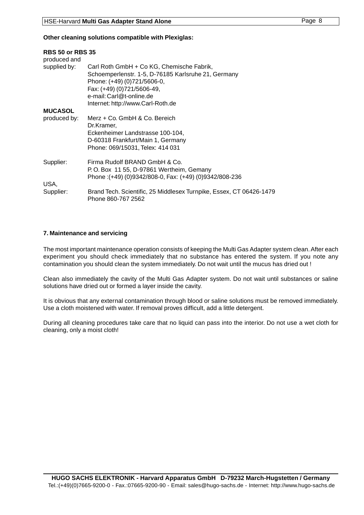#### **Other cleaning solutions compatible with Plexiglas:**

| <b>RBS 50 or RBS 35</b><br>produced and |                                                                                                                                                                                                                                 |
|-----------------------------------------|---------------------------------------------------------------------------------------------------------------------------------------------------------------------------------------------------------------------------------|
| supplied by:                            | Carl Roth GmbH + Co KG, Chemische Fabrik,<br>Schoemperlenstr. 1-5, D-76185 Karlsruhe 21, Germany<br>Phone: (+49) (0) 721/5606-0,<br>Fax: (+49) (0)721/5606-49,<br>e-mail: Carl@t-online.de<br>Internet: http://www.Carl-Roth.de |
| <b>MUCASOL</b>                          |                                                                                                                                                                                                                                 |
| produced by:                            | Merz + Co. GmbH & Co. Bereich<br>Dr.Kramer,<br>Eckenheimer Landstrasse 100-104,<br>D-60318 Frankfurt/Main 1, Germany<br>Phone: 069/15031, Telex: 414 031                                                                        |
| Supplier:                               | Firma Rudolf BRAND GmbH & Co.<br>P.O. Box 11 55, D-97861 Wertheim, Gemany<br>Phone: (+49) (0)9342/808-0, Fax: (+49) (0)9342/808-236                                                                                             |
| USA.<br>Supplier:                       | Brand Tech. Scientific, 25 Middlesex Turnpike, Essex, CT 06426-1479<br>Phone 860-767 2562                                                                                                                                       |

#### **7. Maintenance and servicing**

The most important maintenance operation consists of keeping the Multi Gas Adapter system clean. After each experiment you should check immediately that no substance has entered the system. If you note any contamination you should clean the system immediately. Do not wait until the mucus has dried out !

Clean also immediately the cavity of the Multi Gas Adapter system. Do not wait until substances or saline solutions have dried out or formed a layer inside the cavity.

It is obvious that any external contamination through blood or saline solutions must be removed immediately. Use a cloth moistened with water. If removal proves difficult, add a little detergent.

During all cleaning procedures take care that no liquid can pass into the interior. Do not use a wet cloth for cleaning, only a moist cloth!